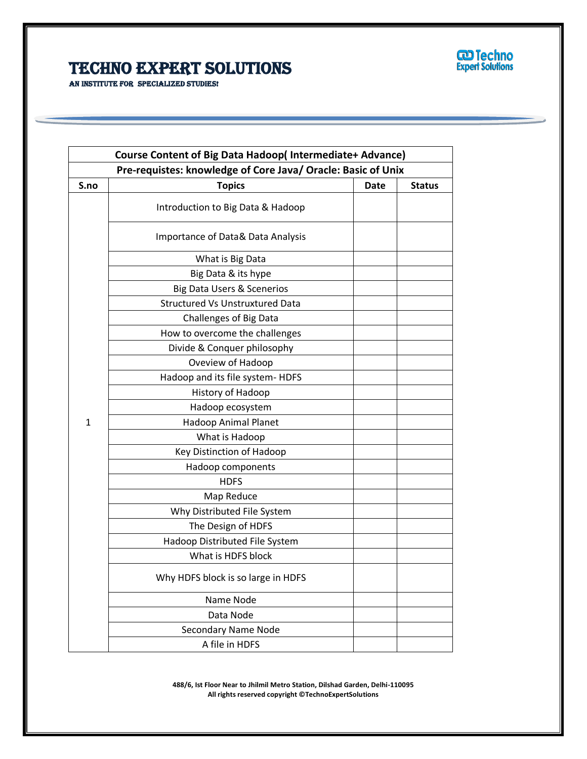

AN INSTITUTE FOR SPECIALIZED STUDIES!

| Course Content of Big Data Hadoop(Intermediate+ Advance)     |                                        |      |               |
|--------------------------------------------------------------|----------------------------------------|------|---------------|
| Pre-requistes: knowledge of Core Java/ Oracle: Basic of Unix |                                        |      |               |
| S.no                                                         | <b>Topics</b>                          | Date | <b>Status</b> |
|                                                              | Introduction to Big Data & Hadoop      |      |               |
|                                                              | Importance of Data& Data Analysis      |      |               |
|                                                              | What is Big Data                       |      |               |
|                                                              | Big Data & its hype                    |      |               |
|                                                              | <b>Big Data Users &amp; Scenerios</b>  |      |               |
|                                                              | <b>Structured Vs Unstruxtured Data</b> |      |               |
|                                                              | <b>Challenges of Big Data</b>          |      |               |
|                                                              | How to overcome the challenges         |      |               |
|                                                              | Divide & Conquer philosophy            |      |               |
|                                                              | Oveview of Hadoop                      |      |               |
|                                                              | Hadoop and its file system- HDFS       |      |               |
|                                                              | History of Hadoop                      |      |               |
|                                                              | Hadoop ecosystem                       |      |               |
| $\mathbf{1}$                                                 | <b>Hadoop Animal Planet</b>            |      |               |
|                                                              | What is Hadoop                         |      |               |
|                                                              | <b>Key Distinction of Hadoop</b>       |      |               |
|                                                              | Hadoop components                      |      |               |
|                                                              | <b>HDFS</b>                            |      |               |
|                                                              | Map Reduce                             |      |               |
|                                                              | Why Distributed File System            |      |               |
|                                                              | The Design of HDFS                     |      |               |
|                                                              | Hadoop Distributed File System         |      |               |
|                                                              | What is HDFS block                     |      |               |
|                                                              | Why HDFS block is so large in HDFS     |      |               |
|                                                              | Name Node                              |      |               |
|                                                              | Data Node                              |      |               |
|                                                              | <b>Secondary Name Node</b>             |      |               |
|                                                              | A file in HDFS                         |      |               |

Ī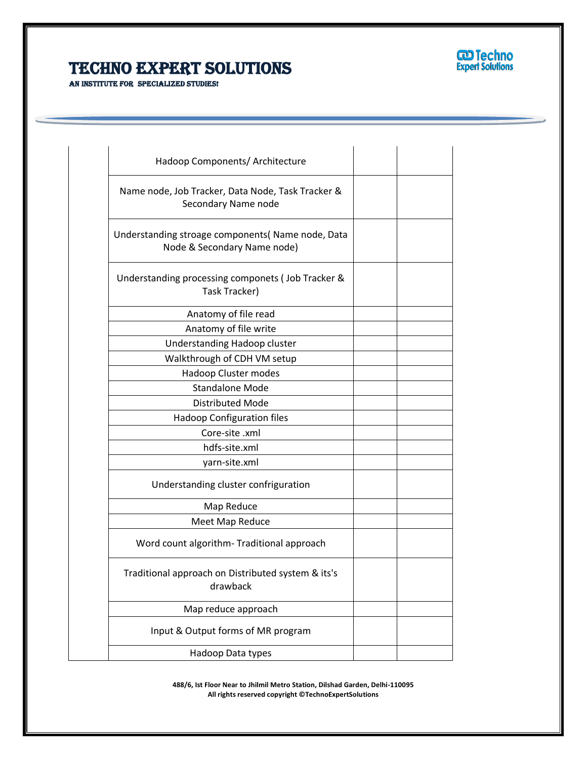

AN INSTITUTE FOR SPECIALIZED STUDIES!

| Hadoop Components/ Architecture                                                 |  |
|---------------------------------------------------------------------------------|--|
| Name node, Job Tracker, Data Node, Task Tracker &<br>Secondary Name node        |  |
| Understanding stroage components(Name node, Data<br>Node & Secondary Name node) |  |
| Understanding processing componets ( Job Tracker &<br>Task Tracker)             |  |
| Anatomy of file read                                                            |  |
| Anatomy of file write                                                           |  |
| Understanding Hadoop cluster                                                    |  |
| Walkthrough of CDH VM setup                                                     |  |
| Hadoop Cluster modes                                                            |  |
| <b>Standalone Mode</b>                                                          |  |
| <b>Distributed Mode</b>                                                         |  |
| Hadoop Configuration files                                                      |  |
| Core-site .xml                                                                  |  |
| hdfs-site.xml                                                                   |  |
| yarn-site.xml                                                                   |  |
| Understanding cluster confriguration                                            |  |
| Map Reduce                                                                      |  |
| Meet Map Reduce                                                                 |  |
| Word count algorithm-Traditional approach                                       |  |
| Traditional approach on Distributed system & its's<br>drawback                  |  |
| Map reduce approach                                                             |  |
| Input & Output forms of MR program                                              |  |
| Hadoop Data types                                                               |  |
|                                                                                 |  |

Ī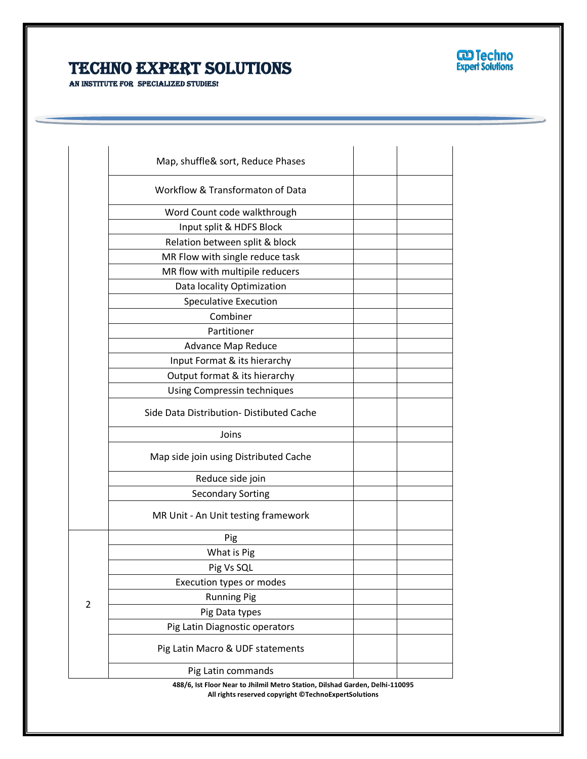



|                | Map, shuffle& sort, Reduce Phases        |  |
|----------------|------------------------------------------|--|
|                | Workflow & Transformaton of Data         |  |
|                | Word Count code walkthrough              |  |
|                | Input split & HDFS Block                 |  |
|                | Relation between split & block           |  |
|                | MR Flow with single reduce task          |  |
|                | MR flow with multipile reducers          |  |
|                | Data locality Optimization               |  |
|                | <b>Speculative Execution</b>             |  |
|                | Combiner                                 |  |
|                | Partitioner                              |  |
|                | <b>Advance Map Reduce</b>                |  |
|                | Input Format & its hierarchy             |  |
|                | Output format & its hierarchy            |  |
|                | Using Compressin techniques              |  |
|                | Side Data Distribution- Distibuted Cache |  |
|                | Joins                                    |  |
|                | Map side join using Distributed Cache    |  |
|                | Reduce side join                         |  |
|                | <b>Secondary Sorting</b>                 |  |
|                | MR Unit - An Unit testing framework      |  |
|                | Pig                                      |  |
|                | What is Pig                              |  |
|                | Pig Vs SQL                               |  |
|                | Execution types or modes                 |  |
|                | <b>Running Pig</b>                       |  |
| $\overline{2}$ | Pig Data types                           |  |
|                | Pig Latin Diagnostic operators           |  |
|                | Pig Latin Macro & UDF statements         |  |
|                | Pig Latin commands                       |  |

Ī

**488/6, Ist Floor Near to Jhilmil Metro Station, Dilshad Garden, Delhi-110095 All rights reserved copyright ©TechnoExpertSolutions**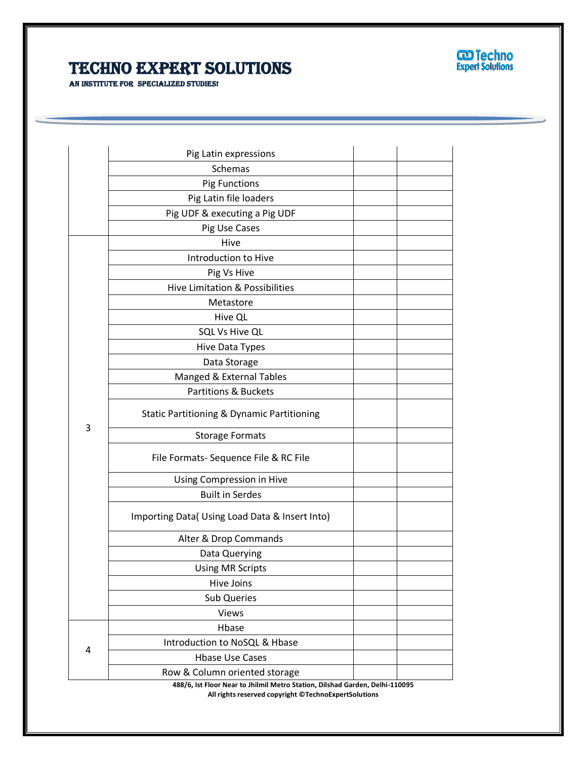

AN INSTITUTE FOR SPECIALIZED STUDIES!

| Pig Latin expressions<br>Schemas<br><b>Pig Functions</b><br>Pig Latin file loaders<br>Pig UDF & executing a Pig UDF<br>Pig Use Cases |  |
|--------------------------------------------------------------------------------------------------------------------------------------|--|
|                                                                                                                                      |  |
|                                                                                                                                      |  |
|                                                                                                                                      |  |
|                                                                                                                                      |  |
|                                                                                                                                      |  |
| Hive                                                                                                                                 |  |
| Introduction to Hive                                                                                                                 |  |
| Pig Vs Hive                                                                                                                          |  |
| Hive Limitation & Possibilities                                                                                                      |  |
| Metastore                                                                                                                            |  |
| Hive QL                                                                                                                              |  |
| SQL Vs Hive QL                                                                                                                       |  |
| Hive Data Types                                                                                                                      |  |
| Data Storage                                                                                                                         |  |
| Manged & External Tables                                                                                                             |  |
| <b>Partitions &amp; Buckets</b>                                                                                                      |  |
| <b>Static Partitioning &amp; Dynamic Partitioning</b>                                                                                |  |
| 3<br><b>Storage Formats</b>                                                                                                          |  |
| File Formats- Sequence File & RC File                                                                                                |  |
| Using Compression in Hive                                                                                                            |  |
| <b>Built in Serdes</b>                                                                                                               |  |
| Importing Data( Using Load Data & Insert Into)                                                                                       |  |
| Alter & Drop Commands                                                                                                                |  |
| Data Querying                                                                                                                        |  |
| <b>Using MR Scripts</b>                                                                                                              |  |
| Hive Joins                                                                                                                           |  |
| <b>Sub Queries</b>                                                                                                                   |  |
| Views                                                                                                                                |  |
| Hbase                                                                                                                                |  |
| Introduction to NoSQL & Hbase                                                                                                        |  |
| 4<br><b>Hbase Use Cases</b>                                                                                                          |  |
| Row & Column oriented storage<br>199/6 Let Floor Noar to Ibilmil Motro Station, Dilshad Gardon, Dolbi 110095                         |  |

Ī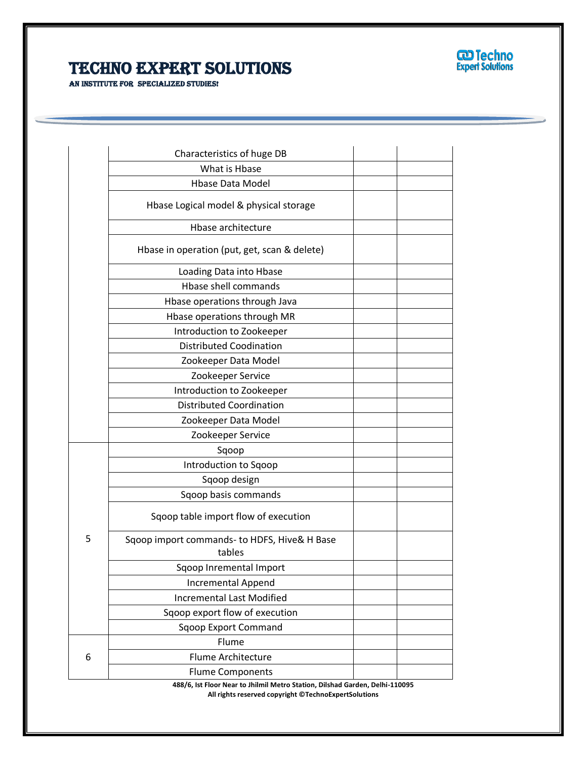

AN INSTITUTE FOR SPECIALIZED STUDIES!

| Characteristics of huge DB                   |  |
|----------------------------------------------|--|
| What is Hbase                                |  |
| <b>Hbase Data Model</b>                      |  |
| Hbase Logical model & physical storage       |  |
| <b>Hbase architecture</b>                    |  |
| Hbase in operation (put, get, scan & delete) |  |
| Loading Data into Hbase                      |  |
| Hbase shell commands                         |  |
| Hbase operations through Java                |  |
| Hbase operations through MR                  |  |
| Introduction to Zookeeper                    |  |
| <b>Distributed Coodination</b>               |  |
| Zookeeper Data Model                         |  |
| Zookeeper Service                            |  |
| Introduction to Zookeeper                    |  |
| <b>Distributed Coordination</b>              |  |
| Zookeeper Data Model                         |  |
| Zookeeper Service                            |  |
| Sqoop                                        |  |
| Introduction to Sqoop                        |  |
| Sqoop design                                 |  |
| Sqoop basis commands                         |  |
| Sqoop table import flow of execution         |  |
| Sqoop import commands- to HDFS, Hive& H Base |  |
| tables                                       |  |
| Sqoop Inremental Import                      |  |
| <b>Incremental Append</b>                    |  |
| <b>Incremental Last Modified</b>             |  |
| Sqoop export flow of execution               |  |
| <b>Sqoop Export Command</b>                  |  |
| Flume                                        |  |
| <b>Flume Architecture</b>                    |  |
|                                              |  |

Ī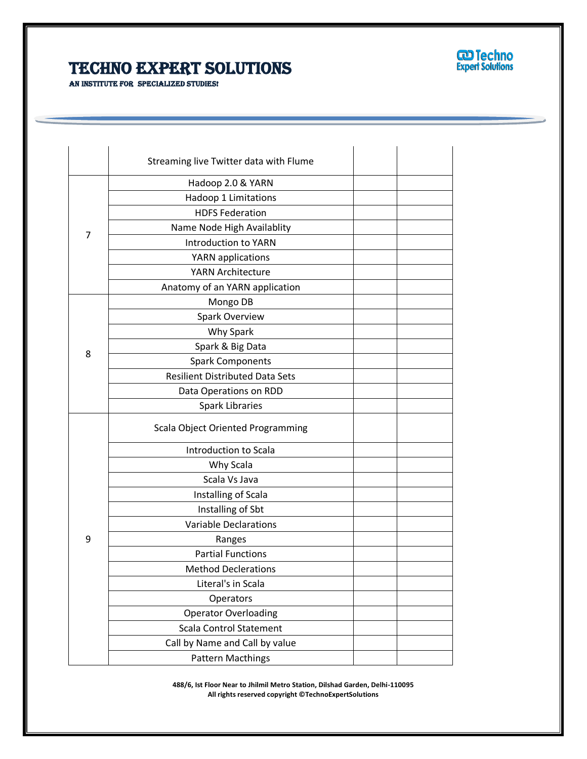

AN INSTITUTE FOR SPECIALIZED STUDIES!

|   | Streaming live Twitter data with Flume   |  |
|---|------------------------------------------|--|
|   | Hadoop 2.0 & YARN                        |  |
| 7 | Hadoop 1 Limitations                     |  |
|   | <b>HDFS Federation</b>                   |  |
|   | Name Node High Availablity               |  |
|   | <b>Introduction to YARN</b>              |  |
|   | YARN applications                        |  |
|   | <b>YARN Architecture</b>                 |  |
|   | Anatomy of an YARN application           |  |
|   | Mongo DB                                 |  |
|   | <b>Spark Overview</b>                    |  |
|   | Why Spark                                |  |
| 8 | Spark & Big Data                         |  |
|   | <b>Spark Components</b>                  |  |
|   | <b>Resilient Distributed Data Sets</b>   |  |
|   | Data Operations on RDD                   |  |
|   | <b>Spark Libraries</b>                   |  |
|   | <b>Scala Object Oriented Programming</b> |  |
|   | Introduction to Scala                    |  |
|   | Why Scala                                |  |
|   | Scala Vs Java                            |  |
|   | Installing of Scala                      |  |
|   | Installing of Sbt                        |  |
|   | <b>Variable Declarations</b>             |  |
| 9 | Ranges                                   |  |
|   | <b>Partial Functions</b>                 |  |
|   | <b>Method Declerations</b>               |  |
|   | Literal's in Scala                       |  |
|   | Operators                                |  |
|   | <b>Operator Overloading</b>              |  |
|   | <b>Scala Control Statement</b>           |  |
|   | Call by Name and Call by value           |  |
|   | <b>Pattern Macthings</b>                 |  |

Ī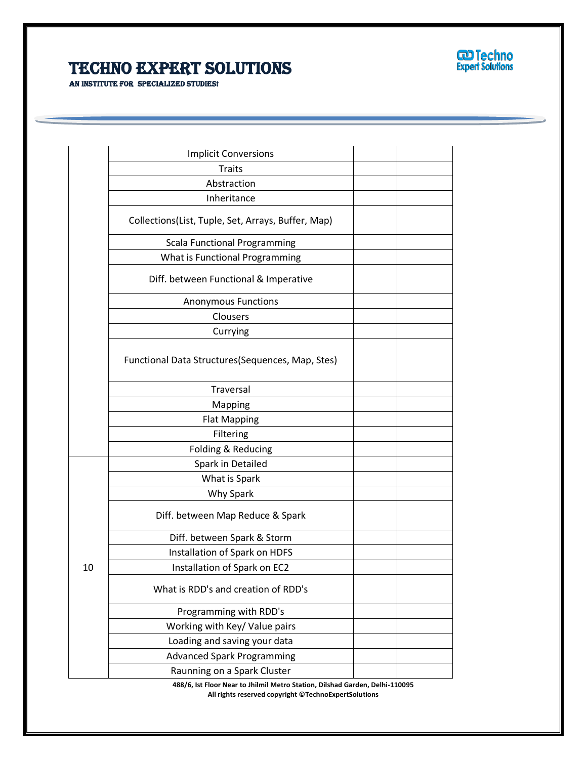

AN INSTITUTE FOR SPECIALIZED STUDIES!

|    | <b>Implicit Conversions</b>                        |  |
|----|----------------------------------------------------|--|
|    | <b>Traits</b>                                      |  |
|    | Abstraction                                        |  |
|    | Inheritance                                        |  |
|    | Collections(List, Tuple, Set, Arrays, Buffer, Map) |  |
|    | <b>Scala Functional Programming</b>                |  |
|    | What is Functional Programming                     |  |
|    | Diff. between Functional & Imperative              |  |
|    | <b>Anonymous Functions</b>                         |  |
|    | Clousers                                           |  |
|    | Currying                                           |  |
|    | Functional Data Structures(Sequences, Map, Stes)   |  |
|    | Traversal                                          |  |
|    | Mapping                                            |  |
|    | <b>Flat Mapping</b>                                |  |
|    | Filtering                                          |  |
|    | Folding & Reducing                                 |  |
|    | Spark in Detailed                                  |  |
|    | What is Spark                                      |  |
|    | Why Spark                                          |  |
|    | Diff. between Map Reduce & Spark                   |  |
|    | Diff. between Spark & Storm                        |  |
|    | Installation of Spark on HDFS                      |  |
| 10 | Installation of Spark on EC2                       |  |
|    | What is RDD's and creation of RDD's                |  |
|    | Programming with RDD's                             |  |
|    | Working with Key/ Value pairs                      |  |
|    | Loading and saving your data                       |  |
|    | <b>Advanced Spark Programming</b>                  |  |
|    | Raunning on a Spark Cluster                        |  |

Ī